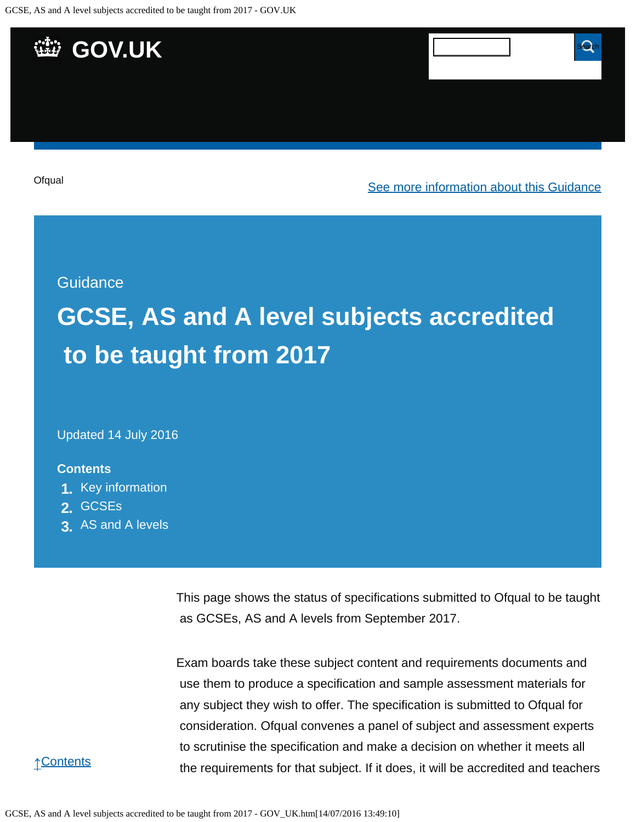

Updated 14 July 2016

### **Contents**

- **1.** [Key information](https://www.gov.uk/government/publications/accreditation-of-gcses-as-a-levels-for-teaching-from-2017/gcse-as-and-a-level-subjects-accredited-to-be-taught-from-2017#key-information)
- **2.** [GCSEs](https://www.gov.uk/government/publications/accreditation-of-gcses-as-a-levels-for-teaching-from-2017/gcse-as-and-a-level-subjects-accredited-to-be-taught-from-2017#gcses)
- **3.** [AS and A levels](https://www.gov.uk/government/publications/accreditation-of-gcses-as-a-levels-for-teaching-from-2017/gcse-as-and-a-level-subjects-accredited-to-be-taught-from-2017#as-and-a-levels)

This page shows the status of specifications submitted to Ofqual to be taught as GCSEs, AS and A levels from September 2017.

Exam boards take these subject content and requirements documents and use them to produce a specification and sample assessment materials for any subject they wish to offer. The specification is submitted to Ofqual for consideration. Ofqual convenes a panel of subject and assessment experts to scrutinise the specification and make a decision on whether it meets all the requirements for that subject. If it does, it will be accredited and teachers

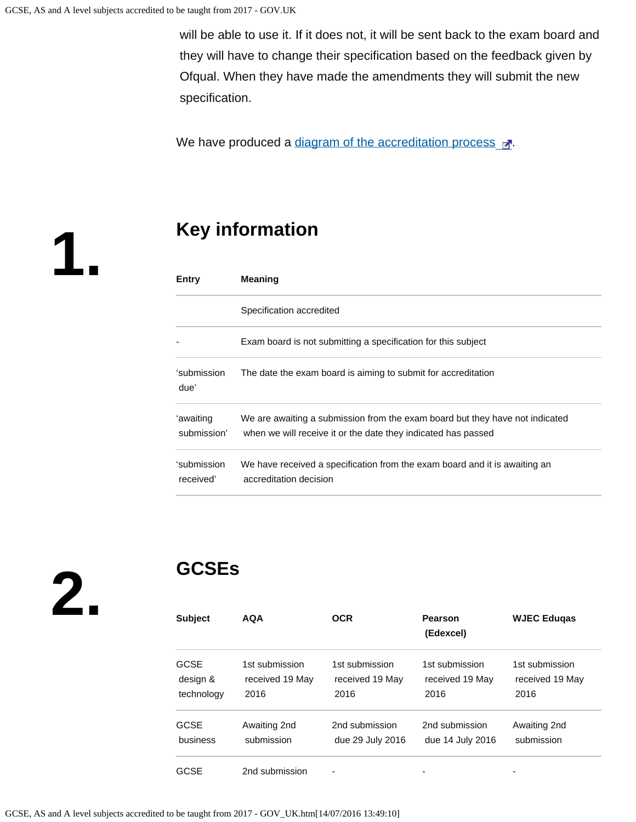will be able to use it. If it does not, it will be sent back to the exam board and they will have to change their specification based on the feedback given by Ofqual. When they have made the amendments they will submit the new specification.

We have produced a [diagram of the accreditation process](https://s-media-cache-ak0.pinimg.com/originals/ce/98/b8/ce98b80566a5db550a3c26889667b9f8.png)  $\mathbb{R}^n$ .

**1.**

## **Key information**

| Entry                    | <b>Meaning</b>                                                                                                                                |
|--------------------------|-----------------------------------------------------------------------------------------------------------------------------------------------|
|                          | Specification accredited                                                                                                                      |
|                          | Exam board is not submitting a specification for this subject                                                                                 |
| ʻsubmission<br>due'      | The date the exam board is aiming to submit for accreditation                                                                                 |
| ʻawaiting<br>submission' | We are awaiting a submission from the exam board but they have not indicated<br>when we will receive it or the date they indicated has passed |
| ʻsubmission<br>received' | We have received a specification from the exam board and it is awaiting an<br>accreditation decision                                          |

**2.**

# **GCSEs**

| <b>Subject</b> | <b>AQA</b>      | <b>OCR</b>       | <b>Pearson</b><br>(Edexcel) | <b>WJEC Eduqas</b> |
|----------------|-----------------|------------------|-----------------------------|--------------------|
| GCSE           | 1st submission  | 1st submission   | 1st submission              | 1st submission     |
| design &       | received 19 May | received 19 May  | received 19 May             | received 19 May    |
| technology     | 2016            | 2016             | 2016                        | 2016               |
| GCSE           | Awaiting 2nd    | 2nd submission   | 2nd submission              | Awaiting 2nd       |
| business       | submission      | due 29 July 2016 | due 14 July 2016            | submission         |
| GCSE           | 2nd submission  |                  |                             |                    |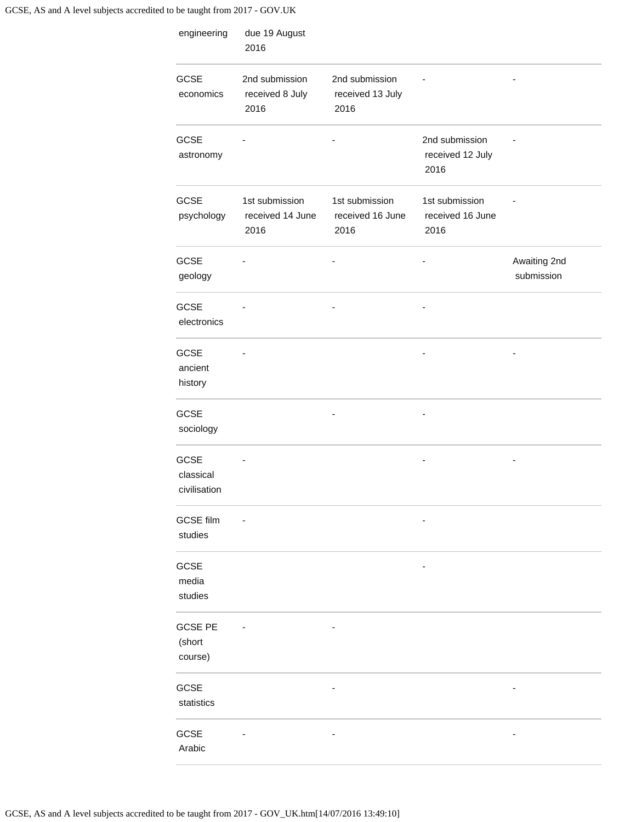| engineering                              | due 19 August<br>2016                      |                                            |                                            |                            |
|------------------------------------------|--------------------------------------------|--------------------------------------------|--------------------------------------------|----------------------------|
| <b>GCSE</b><br>economics                 | 2nd submission<br>received 8 July<br>2016  | 2nd submission<br>received 13 July<br>2016 |                                            |                            |
| <b>GCSE</b><br>astronomy                 |                                            |                                            | 2nd submission<br>received 12 July<br>2016 |                            |
| <b>GCSE</b><br>psychology                | 1st submission<br>received 14 June<br>2016 | 1st submission<br>received 16 June<br>2016 | 1st submission<br>received 16 June<br>2016 |                            |
| <b>GCSE</b><br>geology                   |                                            |                                            |                                            | Awaiting 2nd<br>submission |
| <b>GCSE</b><br>electronics               |                                            |                                            |                                            |                            |
| <b>GCSE</b><br>ancient<br>history        |                                            |                                            |                                            |                            |
| <b>GCSE</b><br>sociology                 |                                            |                                            |                                            |                            |
| <b>GCSE</b><br>classical<br>civilisation |                                            |                                            |                                            |                            |
| <b>GCSE film</b><br>studies              |                                            |                                            |                                            |                            |
| <b>GCSE</b><br>media<br>studies          |                                            |                                            |                                            |                            |
| <b>GCSE PE</b><br>(short<br>course)      |                                            |                                            |                                            |                            |
| GCSE<br>statistics                       |                                            |                                            |                                            |                            |
| <b>GCSE</b><br>Arabic                    |                                            |                                            |                                            |                            |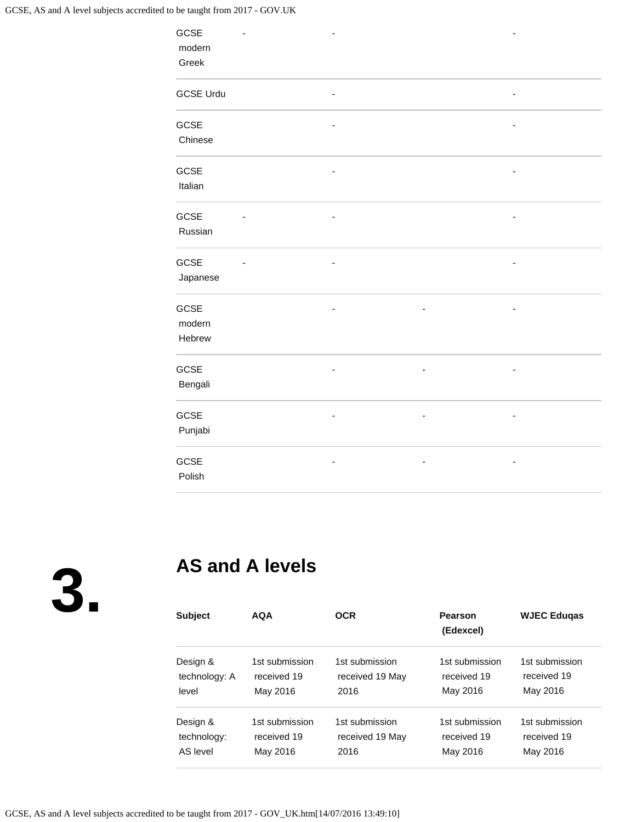| GCSE             |                |                          |                          | $\overline{a}$               |
|------------------|----------------|--------------------------|--------------------------|------------------------------|
| modern           |                |                          |                          |                              |
| Greek            |                |                          |                          |                              |
|                  |                |                          |                          |                              |
| <b>GCSE Urdu</b> |                |                          |                          | $\overline{\phantom{m}}$     |
|                  |                |                          |                          |                              |
| GCSE             |                | ٠                        |                          | ٠                            |
| Chinese          |                |                          |                          |                              |
|                  |                |                          |                          |                              |
| GCSE             |                |                          |                          | ٠                            |
| Italian          |                |                          |                          |                              |
|                  |                |                          |                          |                              |
| GCSE             |                |                          |                          |                              |
| Russian          |                |                          |                          |                              |
|                  |                |                          |                          |                              |
| GCSE             | $\blacksquare$ |                          |                          |                              |
|                  |                | ٠                        |                          | $\overline{\phantom{0}}$     |
| Japanese         |                |                          |                          |                              |
| GCSE             |                | ٠                        |                          | $\overline{\phantom{a}}$     |
| modern           |                |                          |                          |                              |
| Hebrew           |                |                          |                          |                              |
|                  |                |                          |                          |                              |
|                  |                |                          |                          |                              |
| GCSE             |                | $\overline{\phantom{0}}$ | $\overline{\phantom{a}}$ | $\overline{\phantom{a}}$     |
| Bengali          |                |                          |                          |                              |
|                  |                |                          |                          |                              |
| GCSE             |                | ٠                        | $\overline{\phantom{a}}$ | $\qquad \qquad \blacksquare$ |
| Punjabi          |                |                          |                          |                              |
|                  |                |                          |                          |                              |
| GCSE             |                |                          |                          | ٠                            |
| Polish           |                |                          |                          |                              |

**3.**

## **AS and A levels**

| <b>Subject</b> | <b>AQA</b>     | <b>OCR</b>      | Pearson<br>(Edexcel) | <b>WJEC Edugas</b> |
|----------------|----------------|-----------------|----------------------|--------------------|
| Design &       | 1st submission | 1st submission  | 1st submission       | 1st submission     |
| technology: A  | received 19    | received 19 May | received 19          | received 19        |
| level          | May 2016       | 2016            | May 2016             | May 2016           |
| Design &       | 1st submission | 1st submission  | 1st submission       | 1st submission     |
| technology:    | received 19    | received 19 May | received 19          | received 19        |
| AS level       | May 2016       | 2016            | May 2016             | May 2016           |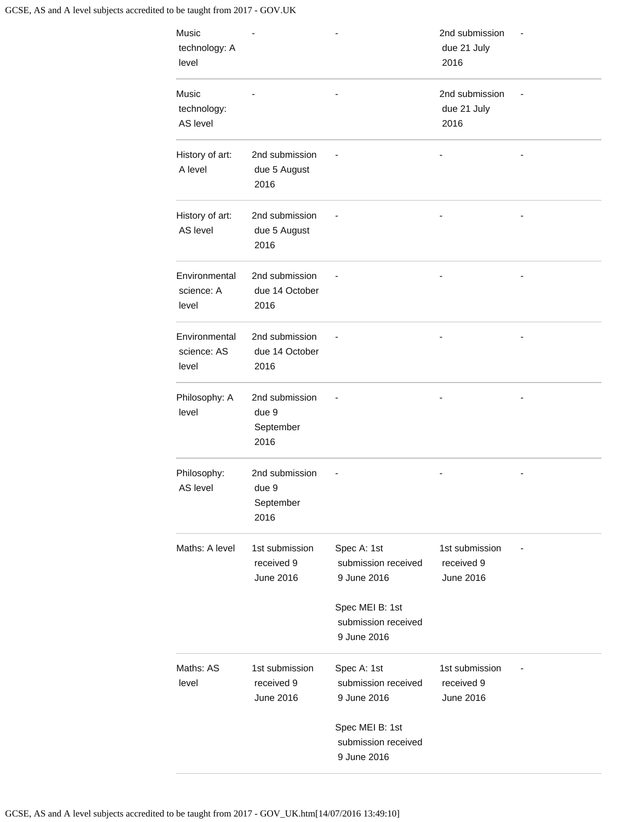|                                              |                                                                                                            | 2nd submission<br>due 21 July<br>2016     |  |
|----------------------------------------------|------------------------------------------------------------------------------------------------------------|-------------------------------------------|--|
|                                              |                                                                                                            | 2nd submission<br>due 21 July<br>2016     |  |
| 2nd submission<br>due 5 August<br>2016       |                                                                                                            |                                           |  |
| 2nd submission<br>due 5 August<br>2016       |                                                                                                            |                                           |  |
| 2nd submission<br>due 14 October<br>2016     |                                                                                                            |                                           |  |
| 2nd submission<br>due 14 October<br>2016     |                                                                                                            |                                           |  |
| 2nd submission<br>due 9<br>September<br>2016 |                                                                                                            |                                           |  |
| 2nd submission<br>due 9<br>September<br>2016 |                                                                                                            |                                           |  |
| 1st submission<br>received 9<br>June 2016    | Spec A: 1st<br>submission received<br>9 June 2016<br>Spec MEI B: 1st<br>submission received<br>9 June 2016 | 1st submission<br>received 9<br>June 2016 |  |
| 1st submission<br>received 9<br>June 2016    | Spec A: 1st<br>submission received<br>9 June 2016<br>Spec MEI B: 1st<br>submission received                | 1st submission<br>received 9<br>June 2016 |  |
|                                              |                                                                                                            | 9 June 2016                               |  |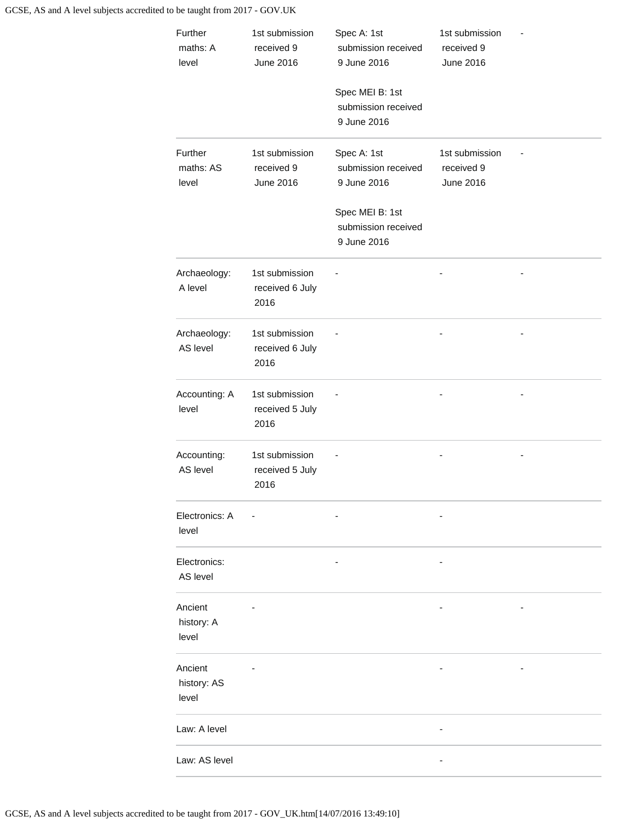| Further<br>maths: A<br>level    | 1st submission<br>received 9<br><b>June 2016</b> | Spec A: 1st<br>submission received<br>9 June 2016<br>Spec MEI B: 1st<br>submission received<br>9 June 2016 | 1st submission<br>received 9<br><b>June 2016</b> |  |
|---------------------------------|--------------------------------------------------|------------------------------------------------------------------------------------------------------------|--------------------------------------------------|--|
| Further<br>maths: AS<br>level   | 1st submission<br>received 9<br>June 2016        | Spec A: 1st<br>submission received<br>9 June 2016<br>Spec MEI B: 1st<br>submission received<br>9 June 2016 | 1st submission<br>received 9<br>June 2016        |  |
| Archaeology:<br>A level         | 1st submission<br>received 6 July<br>2016        |                                                                                                            |                                                  |  |
| Archaeology:<br>AS level        | 1st submission<br>received 6 July<br>2016        |                                                                                                            |                                                  |  |
| Accounting: A<br>level          | 1st submission<br>received 5 July<br>2016        |                                                                                                            |                                                  |  |
| Accounting:<br>AS level         | 1st submission<br>received 5 July<br>2016        |                                                                                                            |                                                  |  |
| Electronics: A<br>level         |                                                  |                                                                                                            |                                                  |  |
| Electronics:<br>AS level        |                                                  |                                                                                                            |                                                  |  |
| Ancient<br>history: A<br>level  |                                                  |                                                                                                            |                                                  |  |
| Ancient<br>history: AS<br>level |                                                  |                                                                                                            |                                                  |  |
| Law: A level                    |                                                  |                                                                                                            |                                                  |  |
| Law: AS level                   |                                                  |                                                                                                            |                                                  |  |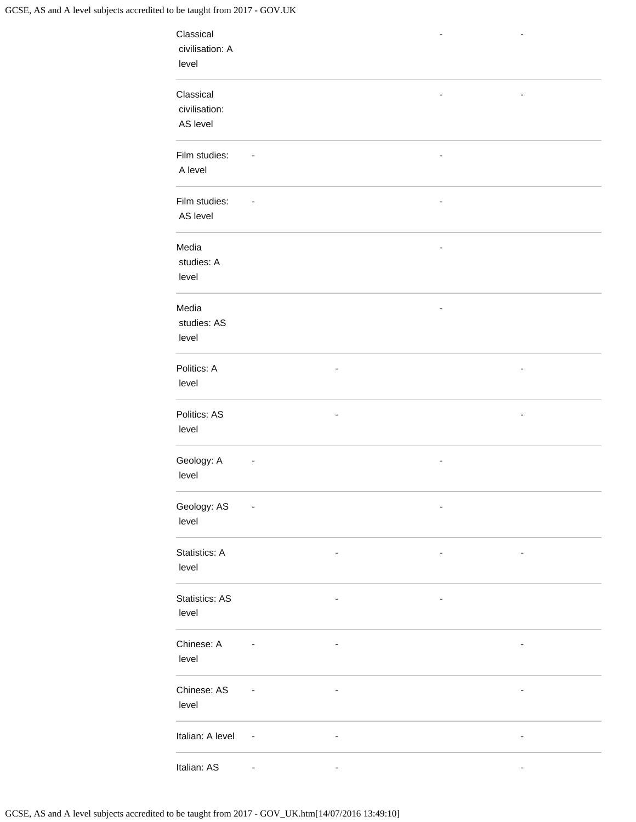| Classical<br>civilisation: A<br>level  |                              |                          |                          |                          |  |
|----------------------------------------|------------------------------|--------------------------|--------------------------|--------------------------|--|
| Classical<br>civilisation:<br>AS level |                              |                          |                          |                          |  |
| Film studies:<br>A level               | $\qquad \qquad \blacksquare$ |                          | $\overline{\phantom{a}}$ |                          |  |
| Film studies:<br>AS level              |                              |                          |                          |                          |  |
| Media<br>studies: A<br>level           |                              |                          |                          |                          |  |
| Media<br>studies: AS<br>level          |                              |                          |                          |                          |  |
| Politics: A<br>level                   |                              |                          |                          |                          |  |
| Politics: AS<br>level                  |                              | $\overline{\phantom{a}}$ |                          | $\overline{\phantom{m}}$ |  |
| Geology: A<br>level                    |                              |                          |                          |                          |  |
| Geology: AS<br>level                   |                              |                          |                          |                          |  |
| Statistics: A<br>level                 |                              |                          |                          | ٠                        |  |
| Statistics: AS<br>level                |                              | $\overline{\phantom{0}}$ | $\overline{\phantom{a}}$ |                          |  |
| Chinese: A<br>level                    |                              | $\overline{\phantom{0}}$ |                          | -                        |  |
| Chinese: AS<br>level                   |                              |                          |                          |                          |  |
| Italian: A level                       | $\overline{\phantom{a}}$     |                          |                          |                          |  |
| Italian: AS                            |                              |                          |                          |                          |  |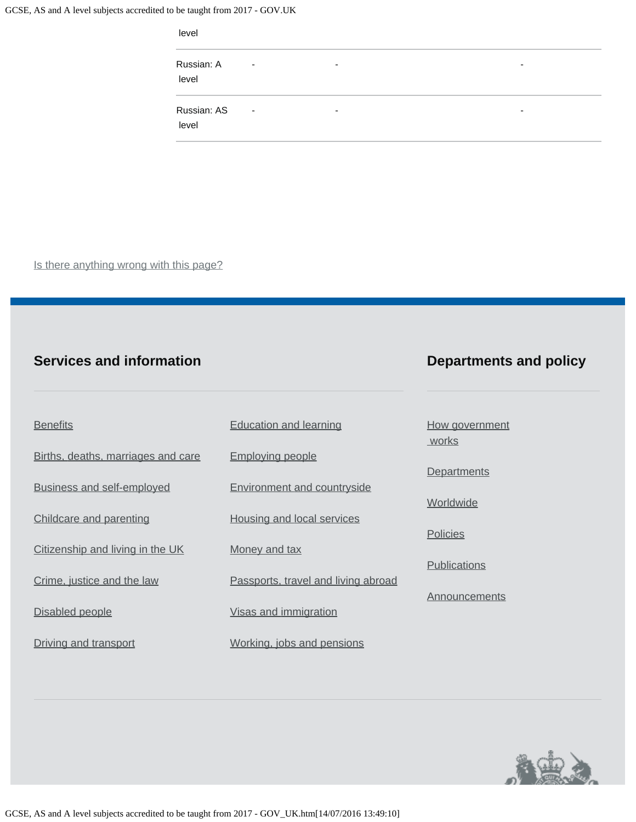| level                |                          |   |                          |  |
|----------------------|--------------------------|---|--------------------------|--|
| Russian: A<br>level  | ٠                        | ۰ | $\overline{\phantom{0}}$ |  |
| Russian: AS<br>level | $\overline{\phantom{a}}$ | ۰ | $\overline{\phantom{0}}$ |  |

Is there anything wrong with this page?

### **Services and information**

### **Departments and policy**

| <b>Benefits</b>                    | <b>Education and learning</b>       | How government<br>works |
|------------------------------------|-------------------------------------|-------------------------|
| Births, deaths, marriages and care | <b>Employing people</b>             |                         |
| <b>Business and self-employed</b>  | <b>Environment and countryside</b>  | <b>Departments</b>      |
| Childcare and parenting            | <b>Housing and local services</b>   | Worldwide               |
| Citizenship and living in the UK   | Money and tax                       | Policies                |
| Crime, justice and the law         | Passports, travel and living abroad | <b>Publications</b>     |
| Disabled people                    | Visas and immigration               | Announcements           |
| Driving and transport              | Working, jobs and pensions          |                         |